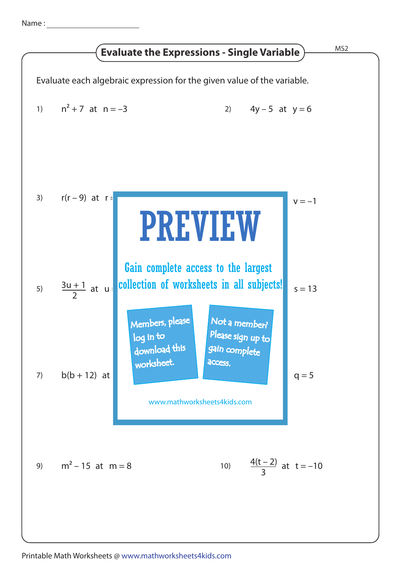